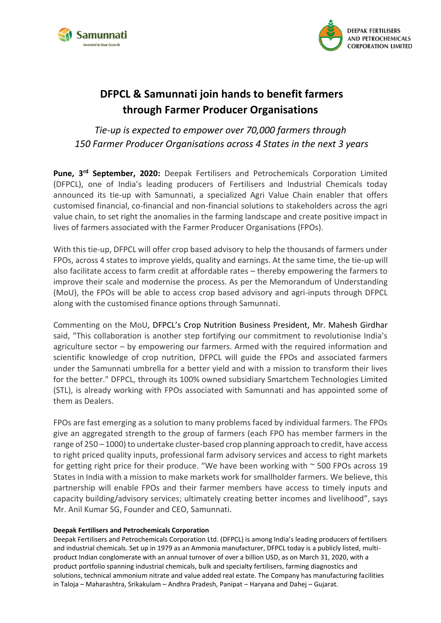



## **DFPCL & Samunnati join hands to benefit farmers through Farmer Producer Organisations**

## *Tie-up is expected to empower over 70,000 farmers through 150 Farmer Producer Organisations across 4 States in the next 3 years*

Pune, 3<sup>rd</sup> September, 2020: Deepak Fertilisers and Petrochemicals Corporation Limited (DFPCL), one of India's leading producers of Fertilisers and Industrial Chemicals today announced its tie-up with Samunnati, a specialized Agri Value Chain enabler that offers customised financial, co-financial and non-financial solutions to stakeholders across the agri value chain, to set right the anomalies in the farming landscape and create positive impact in lives of farmers associated with the Farmer Producer Organisations (FPOs).

With this tie-up, DFPCL will offer crop based advisory to help the thousands of farmers under FPOs, across 4 states to improve yields, quality and earnings. At the same time, the tie-up will also facilitate access to farm credit at affordable rates – thereby empowering the farmers to improve their scale and modernise the process. As per the Memorandum of Understanding (MoU), the FPOs will be able to access crop based advisory and agri-inputs through DFPCL along with the customised finance options through Samunnati.

Commenting on the MoU, DFPCL's Crop Nutrition Business President, Mr. Mahesh Girdhar said, "This collaboration is another step fortifying our commitment to revolutionise India's agriculture sector – by empowering our farmers. Armed with the required information and scientific knowledge of crop nutrition, DFPCL will guide the FPOs and associated farmers under the Samunnati umbrella for a better yield and with a mission to transform their lives for the better." DFPCL, through its 100% owned subsidiary Smartchem Technologies Limited (STL), is already working with FPOs associated with Samunnati and has appointed some of them as Dealers.

FPOs are fast emerging as a solution to many problems faced by individual farmers. The FPOs give an aggregated strength to the group of farmers (each FPO has member farmers in the range of 250 – 1000) to undertake cluster-based crop planning approach to credit, have access to right priced quality inputs, professional farm advisory services and access to right markets for getting right price for their produce. "We have been working with  $\sim$  500 FPOs across 19 States in India with a mission to make markets work for smallholder farmers. We believe, this partnership will enable FPOs and their farmer members have access to timely inputs and capacity building/advisory services; ultimately creating better incomes and livelihood", says Mr. Anil Kumar SG, Founder and CEO, Samunnati.

## **Deepak Fertilisers and Petrochemicals Corporation**

Deepak Fertilisers and Petrochemicals Corporation Ltd. (DFPCL) is among India's leading producers of fertilisers and industrial chemicals. Set up in 1979 as an Ammonia manufacturer, DFPCL today is a publicly listed, multiproduct Indian conglomerate with an annual turnover of over a billion USD, as on March 31, 2020, with a product portfolio spanning industrial chemicals, bulk and specialty fertilisers, farming diagnostics and solutions, technical ammonium nitrate and value added real estate. The Company has manufacturing facilities in Taloja – Maharashtra, Srikakulam – Andhra Pradesh, Panipat – Haryana and Dahej – Gujarat.